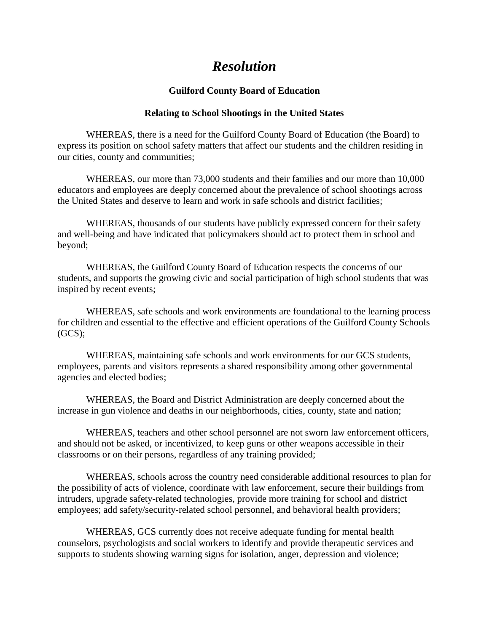## *Resolution*

## **Guilford County Board of Education**

## **Relating to School Shootings in the United States**

WHEREAS, there is a need for the Guilford County Board of Education (the Board) to express its position on school safety matters that affect our students and the children residing in our cities, county and communities;

WHEREAS, our more than 73,000 students and their families and our more than 10,000 educators and employees are deeply concerned about the prevalence of school shootings across the United States and deserve to learn and work in safe schools and district facilities;

WHEREAS, thousands of our students have publicly expressed concern for their safety and well-being and have indicated that policymakers should act to protect them in school and beyond;

WHEREAS, the Guilford County Board of Education respects the concerns of our students, and supports the growing civic and social participation of high school students that was inspired by recent events;

WHEREAS, safe schools and work environments are foundational to the learning process for children and essential to the effective and efficient operations of the Guilford County Schools  $(GCS);$ 

WHEREAS, maintaining safe schools and work environments for our GCS students, employees, parents and visitors represents a shared responsibility among other governmental agencies and elected bodies;

WHEREAS, the Board and District Administration are deeply concerned about the increase in gun violence and deaths in our neighborhoods, cities, county, state and nation;

WHEREAS, teachers and other school personnel are not sworn law enforcement officers, and should not be asked, or incentivized, to keep guns or other weapons accessible in their classrooms or on their persons, regardless of any training provided;

WHEREAS, schools across the country need considerable additional resources to plan for the possibility of acts of violence, coordinate with law enforcement, secure their buildings from intruders, upgrade safety-related technologies, provide more training for school and district employees; add safety/security-related school personnel, and behavioral health providers;

WHEREAS, GCS currently does not receive adequate funding for mental health counselors, psychologists and social workers to identify and provide therapeutic services and supports to students showing warning signs for isolation, anger, depression and violence;